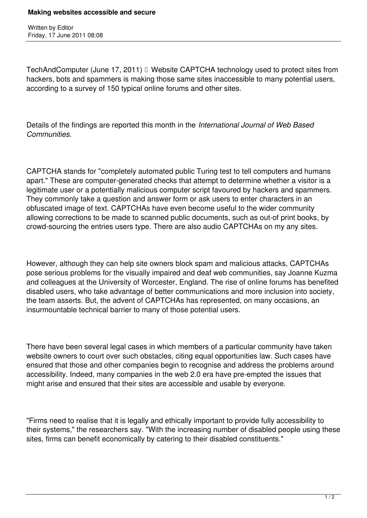Written by Editor Friday, 17 June 2011 08:08

TechAndComputer (June 17, 2011) Website CAPTCHA technology used to protect sites from hackers, bots and spammers is making those same sites inaccessible to many potential users, according to a survey of 150 typical online forums and other sites.

Details of the findings are reported this month in the *International Journal of Web Based Communities.*

CAPTCHA stands for "completely automated public Turing test to tell computers and humans apart." These are computer-generated checks that attempt to determine whether a visitor is a legitimate user or a potentially malicious computer script favoured by hackers and spammers. They commonly take a question and answer form or ask users to enter characters in an obfuscated image of text. CAPTCHAs have even become useful to the wider community allowing corrections to be made to scanned public documents, such as out-of print books, by crowd-sourcing the entries users type. There are also audio CAPTCHAs on my any sites.

However, although they can help site owners block spam and malicious attacks, CAPTCHAs pose serious problems for the visually impaired and deaf web communities, say Joanne Kuzma and colleagues at the University of Worcester, England. The rise of online forums has benefited disabled users, who take advantage of better communications and more inclusion into society, the team asserts. But, the advent of CAPTCHAs has represented, on many occasions, an insurmountable technical barrier to many of those potential users.

There have been several legal cases in which members of a particular community have taken website owners to court over such obstacles, citing equal opportunities law. Such cases have ensured that those and other companies begin to recognise and address the problems around accessibility. Indeed, many companies in the web 2.0 era have pre-empted the issues that might arise and ensured that their sites are accessible and usable by everyone.

"Firms need to realise that it is legally and ethically important to provide fully accessibility to their systems," the researchers say. "With the increasing number of disabled people using these sites, firms can benefit economically by catering to their disabled constituents."